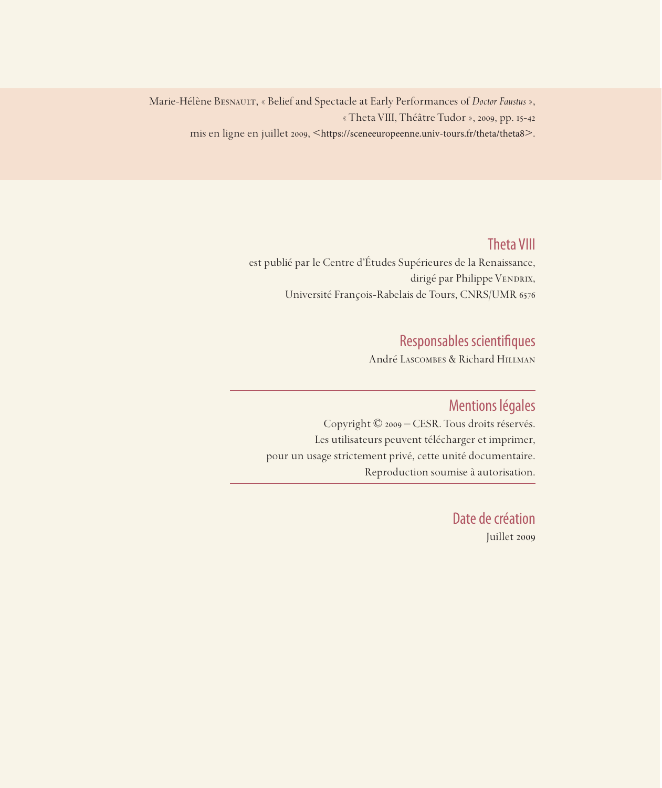s Marie-Hélène Besnault, « Belief and Spectacle at Early Performances of *Doctor Faustus* », « Theta VIII, Théâtre Tudor », 2009, pp. 15-42 mis en ligne en juillet 2009, <https://sceneeuropeenne.univ-tours.fr/theta/theta8>.

## Theta VIII

est publié par le Centre d'Études Supérieures de la Renaissance, dirigé par Philippe VENDRIX, Université François-Rabelais de Tours, CNRS/UMR 6576

# Responsables scientifiques

André Lascombes & Richard Hillman

## Mentions légales

Copyright © 2009 – CESR. Tous droits réservés. Les utilisateurs peuvent télécharger et imprimer, pour un usage strictement privé, cette unité documentaire. Reproduction soumise à autorisation.

> Date de création Juillet 2009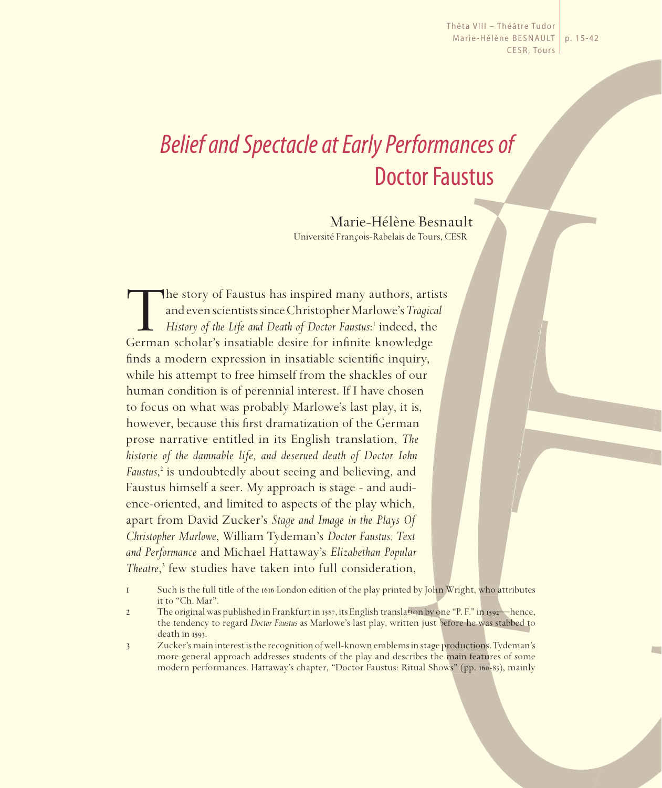Thêta VIII – Théâtre Tudor Marie-Hélène BESNAULT | p. 15-42 CESR, Tours

# *Belief and Spectacle at Early Performances of*  Doctor Faustus

Marie-Hélène Besnault Université François-Rabelais de Tours, CESR

The story of Faustus has inspired many authors, artists<br>and even scientists since Christopher Marlowe's *Tragical*<br>History of the Life and Death of Doctor Faustus:<sup>1</sup> indeed, the<br>German scholar's insatiable desire for infi and even scientists since Christopher Marlowe's *Tragical*  History of the Life and Death of Doctor Faustus:<sup>1</sup> indeed, the finds a modern expression in insatiable scientific inquiry, while his attempt to free himself from the shackles of our human condition is of perennial interest. If I have chosen to focus on what was probably Marlowe's last play, it is, however, because this first dramatization of the German prose narrative entitled in its English translation, *The historie of the damnable life, and deserued death of Doctor Iohn*  Faustus,<sup>2</sup> is undoubtedly about seeing and believing, and Faustus himself a seer. My approach is stage - and audience-oriented, and limited to aspects of the play which, apart from David Zucker's *Stage and Image in the Plays Of Christopher Marlowe*, William Tydeman's *Doctor Faustus: Text and Performance* and Michael Hattaway's *Elizabethan Popular Theatre*, 3 few studies have taken into full consideration,

<sup>1</sup> Such is the full title of the 1616 London edition of the play printed by John Wright, who attributes it to "Ch. Mar".

<sup>2</sup> The original was published in Frankfurt in 1587, its English translation by one "P. F." in 1592—hence, the tendency to regard *Doctor Faustus* as Marlowe's last play, written just before he was stabbed to death in 1593.

<sup>3</sup> Zucker's main interest is the recognition of well-known emblems in stage productions. Tydeman's more general approach addresses students of the play and describes the main features of some modern performances. Hattaway's chapter, "Doctor Faustus: Ritual Shows" (pp. 160-85), mainly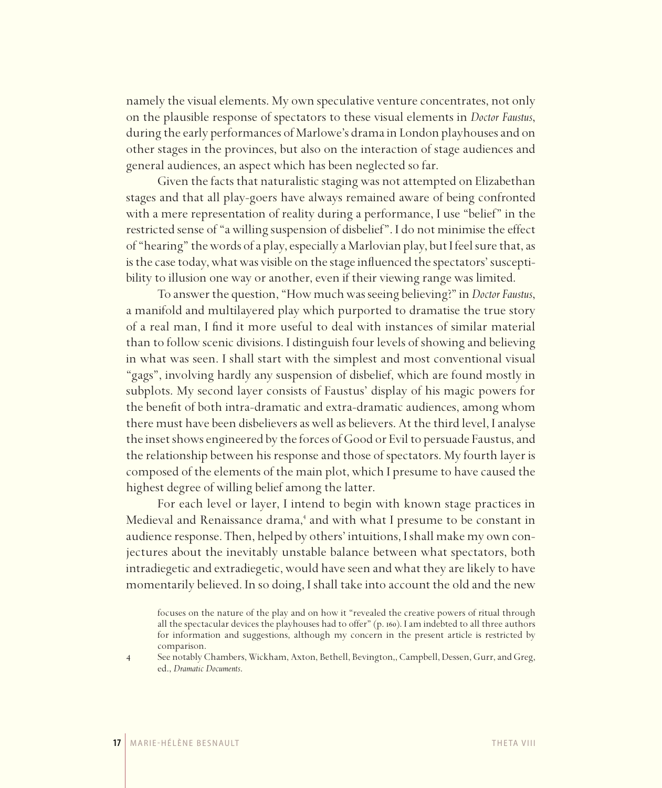namely the visual elements. My own speculative venture concentrates, not only on the plausible response of spectators to these visual elements in *Doctor Faustus*, during the early performances of Marlowe's drama in London playhouses and on other stages in the provinces, but also on the interaction of stage audiences and general audiences, an aspect which has been neglected so far.

Given the facts that naturalistic staging was not attempted on Elizabethan stages and that all play-goers have always remained aware of being confronted with a mere representation of reality during a performance, I use "belief" in the restricted sense of "a willing suspension of disbelief". I do not minimise the effect of "hearing" the words of a play, especially a Marlovian play, but I feel sure that, as is the case today, what was visible on the stage influenced the spectators' susceptibility to illusion one way or another, even if their viewing range was limited.

To answer the question, "How much was seeing believing?" in *Doctor Faustus*, a manifold and multilayered play which purported to dramatise the true story of a real man, I find it more useful to deal with instances of similar material than to follow scenic divisions. I distinguish four levels of showing and believing in what was seen. I shall start with the simplest and most conventional visual "gags", involving hardly any suspension of disbelief, which are found mostly in subplots. My second layer consists of Faustus' display of his magic powers for the benefit of both intra-dramatic and extra-dramatic audiences, among whom there must have been disbelievers as well as believers. At the third level, Ianalyse the inset shows engineered by the forces of Good or Evil to persuade Faustus, and the relationship between his response and those of spectators. My fourth layer is composed of the elements of the main plot, which I presume to have caused the highest degree of willing belief among the latter.

For each level or layer, I intend to begin with known stage practices in Medieval and Renaissance drama,<sup>4</sup> and with what I presume to be constant in audience response. Then, helped by others' intuitions, I shall make my own conjectures about the inevitably unstable balance between what spectators, both intradiegetic and extradiegetic, would have seen and what they are likely to have momentarily believed. In so doing, I shall take into account the old and the new

4 See notably Chambers, Wickham, Axton, Bethell, Bevington,, Campbell, Dessen, Gurr, and Greg, ed., *Dramatic Documents*.

focuses on the nature of the play and on how it "revealed the creative powers of ritual through all the spectacular devices the playhouses had to offer" (p. 160). Iam indebted to all three authors for information and suggestions, although my concern in the present article is restricted by comparison.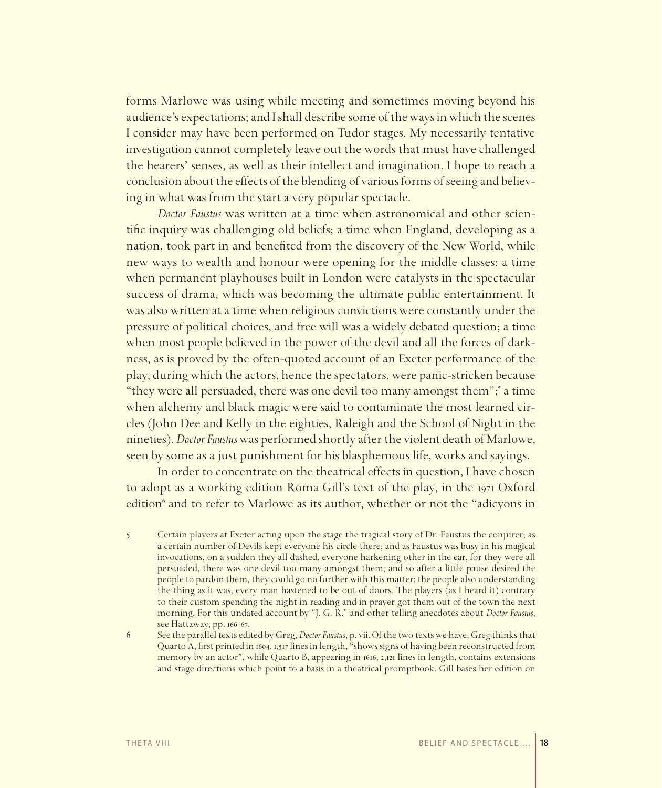forms Marlowe was using while meeting and sometimes moving beyond his audience's expectations; and I shall describe some of the ways in which the scenes I consider may have been performed on Tudor stages. My necessarily tentative investigation cannot completely leave out the words that must have challenged the hearers' senses, as well as their intellect and imagination. I hope to reach a conclusion about the effects of the blending of various forms of seeing and believing in what was from the start a very popular spectacle.

*Doctor Faustus* was written at a time when astronomical and other scientific inquiry was challenging old beliefs; a time when England, developing as a nation, took part in and benefited from the discovery of the New World, while new ways to wealth and honour were opening for the middle classes; a time when permanent playhouses built in London were catalysts in the spectacular success of drama, which was becoming the ultimate public entertainment. It was also written at a time when religious convictions were constantly under the pressure of political choices, and free will was a widely debated question; a time when most people believed in the power of the devil and all the forces of darkness, as is proved by the often-quoted account of an Exeter performance of the play, during which the actors, hence the spectators, were panic-stricken because "they were all persuaded, there was one devil too many amongst them";<sup>5</sup> a time when alchemy and black magic were said to contaminate the most learned circles (John Dee and Kelly in the eighties, Raleigh and the School of Night in the nineties). *Doctor Faustus* was performed shortly after the violent death of Marlowe, seen by some as a just punishment for his blasphemous life, works and sayings.

In order to concentrate on the theatrical effects in question, I have chosen to adopt as a working edition Roma Gill's text of the play, in the 1971 Oxford edition<sup>6</sup> and to refer to Marlowe as its author, whether or not the "adicyons in

- 5 Certain players at Exeter acting upon the stage the tragical story of Dr. Faustus the conjurer; as a certain number of Devils kept everyone his circle there, and as Faustus was busy in his magical invocations, on a sudden they all dashed, everyone harkening other in the ear, for they were all persuaded, there was one devil too many amongst them; and so after a little pause desired the people to pardon them, they could go no further with this matter; the people also understanding the thing as it was, every man hastened to be out of doors. The players (as I heard it) contrary to their custom spending the night in reading and in prayer got them out of the town the next morning. For this undated account by "J. G. R." and other telling anecdotes about *Doctor Faustus*, see Hattaway, pp. 166-67.
- 6 See the parallel texts edited by Greg, *Doctor Faustus*, p. vii. Of the two texts we have, Greg thinks that Quarto A, first printed in 1604, 1,517 lines in length, "shows signs of having been reconstructed from memory by an actor", while Quarto B, appearing in 1616, 2,121 lines in length, contains extensions and stage directions which point to a basis in a theatrical promptbook. Gill bases her edition on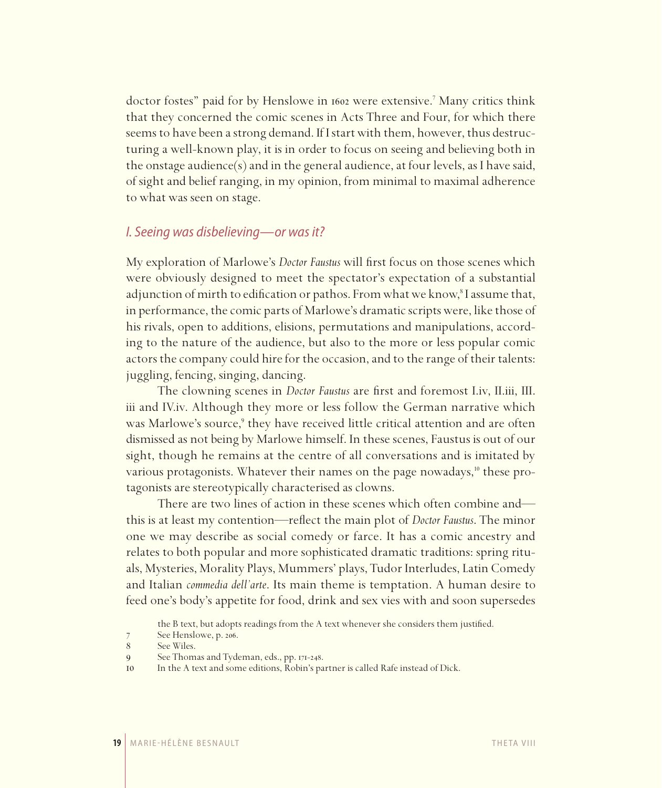doctor fostes" paid for by Henslowe in 1602 were extensive.<sup>7</sup> Many critics think that they concerned the comic scenes in Acts Three and Four, for which there seems to have been a strong demand. If I start with them, however, thus destructuring a well-known play, it is in order to focus on seeing and believing both in the onstage audience(s) and in the general audience, at four levels, as I have said, of sight and belief ranging, in my opinion, from minimal to maximal adherence to what was seen on stage.

#### *I. Seeing was disbelieving—or was it?*

My exploration of Marlowe's *Doctor Faustus* will first focus on those scenes which were obviously designed to meet the spectator's expectation of a substantial adjunction of mirth to edification or pathos. From what we know,<sup>8</sup> I assume that, in performance, the comic parts of Marlowe's dramatic scripts were, like those of his rivals, open to additions, elisions, permutations and manipulations, according to the nature of the audience, but also to the more or less popular comic actors the company could hire for the occasion, and to the range of their talents: juggling, fencing, singing, dancing.

The clowning scenes in *Doctor Faustus* are first and foremost I.iv, II.iii, III. iii and IV.iv. Although they more or less follow the German narrative which was Marlowe's source,<sup>9</sup> they have received little critical attention and are often dismissed as not being by Marlowe himself. In these scenes, Faustus is out of our sight, though he remains at the centre of all conversations and is imitated by various protagonists. Whatever their names on the page nowadays,<sup>10</sup> these protagonists are stereotypically characterised as clowns.

There are two lines of action in these scenes which often combine and this is at least my contention—reflect the main plot of *Doctor Faustus*. The minor one we may describe as social comedy or farce. It has a comic ancestry and relates to both popular and more sophisticated dramatic traditions: spring rituals, Mysteries, Morality Plays, Mummers' plays, Tudor Interludes, Latin Comedy and Italian *commedia dell'arte*. Its main theme is temptation. A human desire to feed one's body's appetite for food, drink and sex vies with and soon supersedes

the B text, but adopts readings from the A text whenever she considers them justified.

<sup>7</sup> See Henslowe, p. 206.<br>8 See Wiles.

See Wiles.

<sup>9</sup> See Thomas and Tydeman, eds., pp. 171-248.

<sup>10</sup> In the A text and some editions, Robin's partner is called Rafe instead of Dick.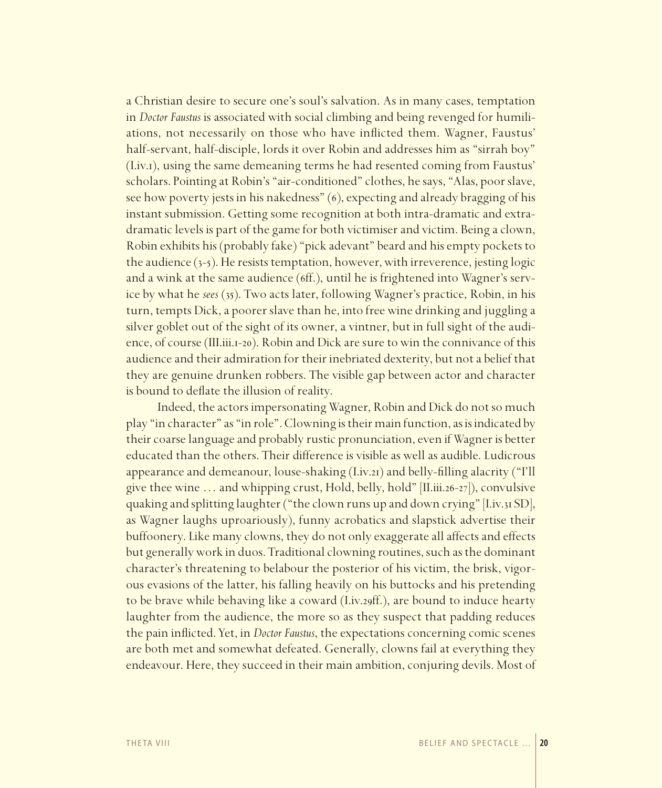a Christian desire to secure one's soul's salvation. As in many cases, temptation in *Doctor Faustus* is associated with social climbing and being revenged for humiliations, not necessarily on those who have inflicted them. Wagner, Faustus' half-servant, half-disciple, lords it over Robin and addresses him as "sirrah boy" (I.iv.1), using the same demeaning terms he had resented coming from Faustus' scholars. Pointing at Robin's "air-conditioned" clothes, he says, "Alas, poor slave, see how poverty jests in his nakedness" (6), expecting and already bragging of his instant submission. Getting some recognition at both intra-dramatic and extradramatic levels is part of the game for both victimiser and victim. Being a clown, Robin exhibits his (probably fake) "pick adevant" beard and his empty pockets to the audience  $(3-5)$ . He resists temptation, however, with irreverence, jesting  $logic$ and a wink at the same audience (6ff.), until he is frightened into Wagner's service by what he *sees* (35). Two acts later, following Wagner's practice, Robin, in his turn, tempts Dick, a poorer slave than he, into free wine drinking and juggling a silver goblet out of the sight of its owner, a vintner, but in full sight of the audience, of course (III.iii.1-20). Robin and Dick are sure to win the connivance of this audience and their admiration for their inebriated dexterity, but not a belief that they are genuine drunken robbers. The visible gap between actor and character is bound to deflate the illusion of reality.

Indeed, the actors impersonating Wagner, Robin and Dick do not so much play "in character" as "in role". Clowning is their main function, as is indicated by their coarse language and probably rustic pronunciation, even if Wagner is better educated than the others. Their difference is visible as well as audible. Ludicrous appearance and demeanour, louse-shaking  $(I.i v.21)$  and belly-filling alacrity ("I'll give thee wine … and whipping crust, Hold, belly, hold" [II.iii.26-27]), convulsive quaking and splitting laughter ("the clown runs up and down crying" [I.iv.31 SD], as Wagner laughs uproariously), funny acrobatics and slapstick advertise their buffoonery. Like many clowns, they do not only exaggerate all affects and effects but generally work in duos. Traditional clowning routines, such as the dominant character's threatening to belabour the posterior of his victim, the brisk, vigorous evasions of the latter, his falling heavily on his buttocks and his pretending to be brave while behaving like a coward (I.iv.29ff.), are bound to induce hearty laughter from the audience, the more so as they suspect that padding reduces the pain inflicted. Yet, in *Doctor Faustus*, the expectations concerning comic scenes are both met and somewhat defeated. Generally, clowns fail at everything they endeavour. Here, they succeed in their main ambition, conjuring devils. Most of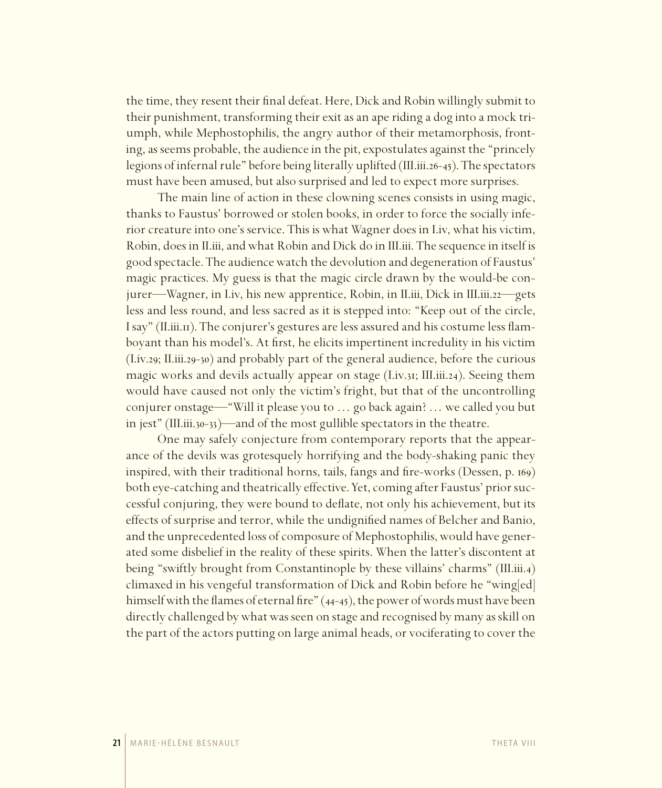the time, they resent their final defeat. Here, Dick and Robin willingly submit to their punishment, transforming their exit as an ape riding a dog into a mock triumph, while Mephostophilis, the angry author of their metamorphosis, fronting, as seems probable, the audience in the pit, expostulates against the "princely legions of infernal rule" before being literally uplifted (III.iii.26-45). The spectators must have been amused, but also surprised and led to expect more surprises.

The main line of action in these clowning scenes consists in using magic, thanks to Faustus' borrowed or stolen books, in order to force the socially inferior creature into one's service. This is what Wagner does in I.iv, what his victim, Robin, does in II.iii, and what Robin and Dick do in III.iii. The sequence in itself is good spectacle. The audience watch the devolution and degeneration of Faustus' magic practices. My guess is that the magic circle drawn by the would-be conjurer—Wagner, in I.iv, his new apprentice, Robin, in II.iii, Dick in III.iii.22—gets less and less round, and less sacred as it is stepped into: "Keep out of the circle, I say" (II.iii.11). The conjurer's gestures are less assured and his costume less flamboyant than his model's. At first, he elicits impertinent incredulity in his victim (I.iv.29; II.iii.29-30) and probably part of the general audience, before the curious magic works and devils actually appear on stage (I.iv.31; III.iii.24). Seeing them would have caused not only the victim's fright, but that of the uncontrolling conjurer onstage—"Will it please you to … go back again? … we called you but in jest" (III.iii.30-33)—and of the most gullible spectators in the theatre.

One may safely conjecture from contemporary reports that the appearance of the devils was grotesquely horrifying and the body-shaking panic they inspired, with their traditional horns, tails, fangs and fire-works (Dessen, p. 169) both eye-catching and theatrically effective. Yet, coming after Faustus' prior successful conjuring, they were bound to deflate, not only his achievement, but its effects of surprise and terror, while the undignified names of Belcher and Banio, and the unprecedented loss of composure of Mephostophilis, would have generated some disbelief in the reality of these spirits. When the latter's discontent at being "swiftly brought from Constantinople by these villains' charms" (III.iii.4) climaxed in his vengeful transformation of Dick and Robin before he "wing[ed] himself with the flames of eternal fire" (44-45), the power of words must have been directly challenged by what was seen on stage and recognised by many as skill on the part of the actors putting on large animal heads, or vociferating to cover the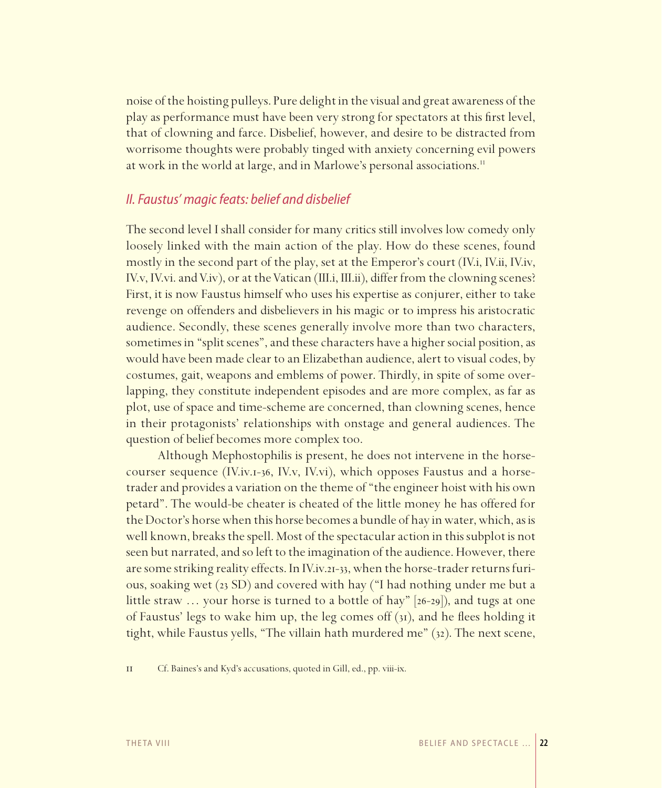noise of the hoisting pulleys. Pure delight in the visual and great awareness of the play as performance must have been very strong for spectators at this first level, that of clowning and farce. Disbelief, however, and desire to be distracted from worrisome thoughts were probably tinged with anxiety concerning evil powers at work in the world at large, and in Marlowe's personal associations.<sup>11</sup>

#### *II. Faustus' magic feats: belief and disbelief*

The second level I shall consider for many critics still involves low comedy only loosely linked with the main action of the play. How do these scenes, found mostly in the second part of the play, set at the Emperor's court (IV.i, IV.ii, IV.iv, IV.v, IV.vi. and V.iv), or at the Vatican (III.i, III.ii), differ from the clowning scenes? First, it is now Faustus himself who uses his expertise as conjurer, either to take revenge on offenders and disbelievers in his magic or to impress his aristocratic audience. Secondly, these scenes generally involve more than two characters, sometimes in "split scenes", and these characters have a higher social position, as would have been made clear to an Elizabethan audience, alert to visual codes, by costumes, gait, weapons and emblems of power. Thirdly, in spite of some overlapping, they constitute independent episodes and are more complex, as far as plot, use of space and time-scheme are concerned, than clowning scenes, hence in their protagonists' relationships with onstage and general audiences. The question of belief becomes more complex too.

Although Mephostophilis is present, he does not intervene in the horsecourser sequence (IV.iv.1-36, IV.v, IV.vi), which opposes Faustus and a horsetrader and provides a variation on the theme of "the engineer hoist with his own petard". The would-be cheater is cheated of the little money he has offered for the Doctor's horse when this horse becomes a bundle of hay in water, which, as is well known, breaks the spell. Most of the spectacular action in this subplot is not seen but narrated, and so left to the imagination of the audience. However, there are some striking reality effects. In IV.iv.21-33, when the horse-trader returns furious, soaking wet (23 SD) and covered with hay ("I had nothing under me but a little straw … your horse is turned to a bottle of hay" [26-29]), and tugs at one of Faustus' legs to wake him up, the leg comes off  $(31)$ , and he flees holding it tight, while Faustus yells, "The villain hath murdered me" (32). The next scene,

11 Cf. Baines's and Kyd's accusations, quoted in Gill, ed., pp. viii-ix.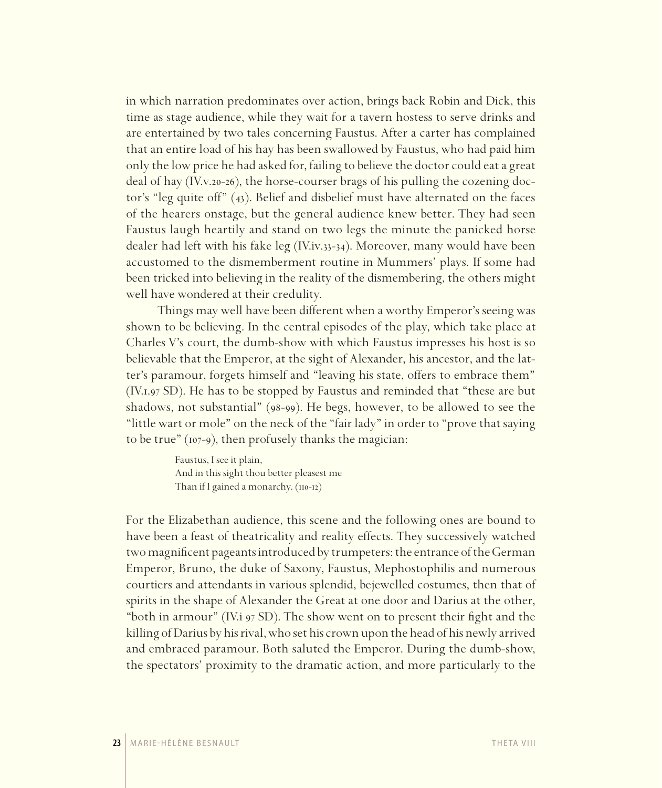in which narration predominates over action, brings back Robin and Dick, this time as stage audience, while they wait for a tavern hostess to serve drinks and are entertained by two tales concerning Faustus. After a carter has complained that an entire load of his hay has been swallowed by Faustus, who had paid him only the low price he had asked for, failing to believe the doctor could eat a great deal of hay (IV.v.20-26), the horse-courser brags of his pulling the cozening doctor's "leg quite off" (43). Belief and disbelief must have alternated on the faces of the hearers onstage, but the general audience knew better. They had seen Faustus laugh heartily and stand on two legs the minute the panicked horse dealer had left with his fake leg (IV.iv.33-34). Moreover, many would have been accustomed to the dismemberment routine in Mummers' plays. If some had been tricked into believing in the reality of the dismembering, the others might well have wondered at their credulity.

Things may well have been different when a worthy Emperor's seeing was shown to be believing. In the central episodes of the play, which take place at Charles V's court, the dumb-show with which Faustus impresses his host is so believable that the Emperor, at the sight of Alexander, his ancestor, and the latter's paramour, forgets himself and "leaving his state, offers to embrace them" (IV.1.97 SD). He has to be stopped by Faustus and reminded that "these are but shadows, not substantial" (98-99). He begs, however, to be allowed to see the "little wart or mole" on the neck of the "fair lady" in order to "prove that saying to be true" (107-9), then profusely thanks the magician:

> Faustus, I see it plain, And in this sight thou better pleasest me Than if I gained a monarchy. (110-12)

For the Elizabethan audience, this scene and the following ones are bound to have been a feast of theatricality and reality effects. They successively watched two magnificent pageants introduced by trumpeters: the entrance of the German Emperor, Bruno, the duke of Saxony, Faustus, Mephostophilis and numerous courtiers and attendants in various splendid, bejewelled costumes, then that of spirits in the shape of Alexander the Great at one door and Darius at the other, "both in armour" (IV.i 97 SD). The show went on to present their fight and the killing of Darius by his rival, who set his crown upon the head of his newly arrived and embraced paramour. Both saluted the Emperor. During the dumb-show, the spectators' proximity to the dramatic action, and more particularly to the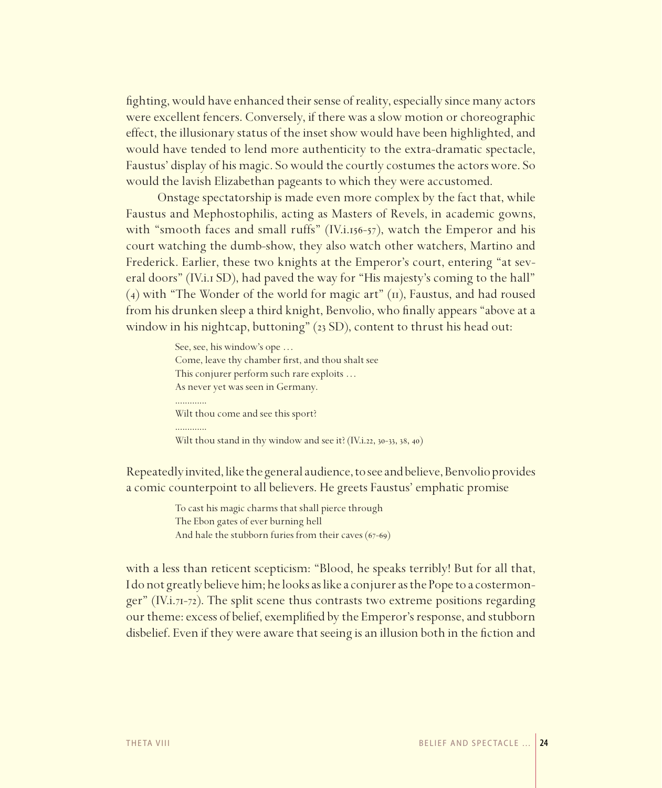fighting, would have enhanced their sense of reality, especially since many actors were excellent fencers. Conversely, if there was a slow motion or choreographic effect, the illusionary status of the inset show would have been highlighted, and would have tended to lend more authenticity to the extra-dramatic spectacle, Faustus' display of his magic. So would the courtly costumes the actors wore. So would the lavish Elizabethan pageants to which they were accustomed.

Onstage spectatorship is made even more complex by the fact that, while Faustus and Mephostophilis, acting as Masters of Revels, in academic gowns, with "smooth faces and small ruffs" (IV.i.156-57), watch the Emperor and his court watching the dumb-show, they also watch other watchers, Martino and Frederick. Earlier, these two knights at the Emperor's court, entering "at several doors" (IV.i.1 SD), had paved the way for "His majesty's coming to the hall"  $(4)$  with "The Wonder of the world for magic art" ( $\pi$ ), Faustus, and had roused from his drunken sleep a third knight, Benvolio, who finally appears "above at a window in his nightcap, buttoning" (23 SD), content to thrust his head out:

> See, see, his window's ope … Come, leave thy chamber first, and thou shalt see This conjurer perform such rare exploits … As never yet was seen in Germany. ............. Wilt thou come and see this sport? ............. Wilt thou stand in thy window and see it? (IV.i.22, 30-33, 38, 40)

Repeatedly invited, like the general audience, to see and believe, Benvolio provides a comic counterpoint to all believers. He greets Faustus' emphatic promise

> To cast his magic charms that shall pierce through The Ebon gates of ever burning hell And hale the stubborn furies from their caves (67-69)

with a less than reticent scepticism: "Blood, he speaks terribly! But for all that, I do not greatly believe him; he looks as like a conjurer as the Pope to a costermonger" (IV.i.71-72). The split scene thus contrasts two extreme positions regarding our theme: excess of belief, exemplified by the Emperor's response, and stubborn disbelief. Even if they were aware that seeing is an illusion both in the fiction and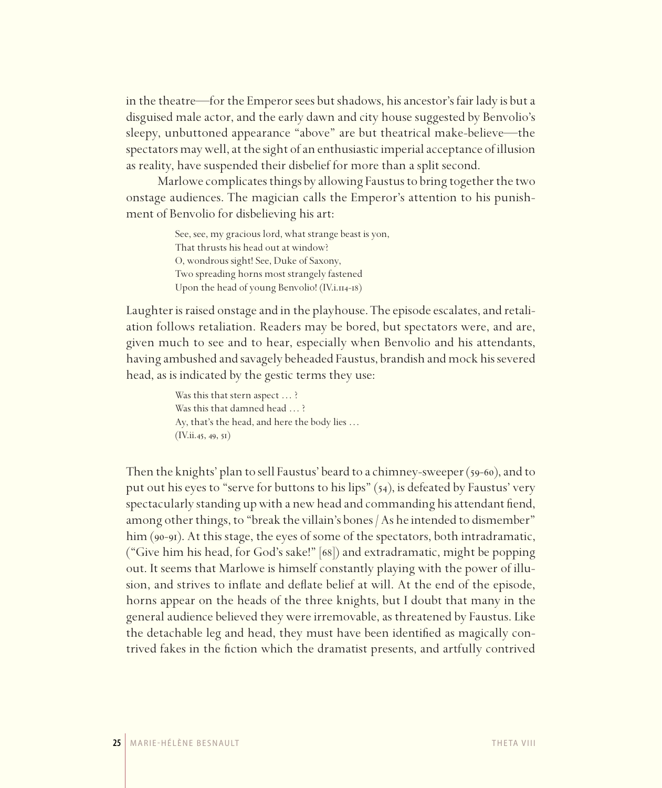in the theatre—for the Emperor sees but shadows, his ancestor's fair lady is but a disguised male actor, and the early dawn and city house suggested by Benvolio's sleepy, unbuttoned appearance "above" are but theatrical make-believe—the spectators may well, at the sight of an enthusiastic imperial acceptance of illusion as reality, have suspended their disbelief for more than a split second.

Marlowe complicates things by allowing Faustus to bring together the two onstage audiences. The magician calls the Emperor's attention to his punishment of Benvolio for disbelieving his art:

> See, see, my gracious lord, what strange beast is yon, That thrusts his head out at window? O, wondrous sight! See, Duke of Saxony, Two spreading horns most strangely fastened Upon the head of young Benvolio! (IV.i.114-18)

Laughter is raised onstage and in the playhouse. The episode escalates, and retaliation follows retaliation. Readers may be bored, but spectators were, and are, given much to see and to hear, especially when Benvolio and his attendants, having ambushed and savagely beheaded Faustus, brandish and mock his severed head, as is indicated by the gestic terms they use:

> Was this that stern aspect ... ? Was this that damned head ...? Ay, that's the head, and here the body lies …  $(IV.ii.45, 49, 51)$

Then the knights' plan to sell Faustus' beard to a chimney-sweeper (59-60), and to put out his eyes to "serve for buttons to his lips" (54), is defeated by Faustus' very spectacularly standing up with a new head and commanding his attendant fiend, among other things, to "break the villain's bones/ As he intended to dismember" him (90-91). At this stage, the eyes of some of the spectators, both intradramatic, ("Give him his head, for God's sake!" [68]) and extradramatic, might be popping out. It seems that Marlowe is himself constantly playing with the power of illusion, and strives to inflate and deflate belief at will. At the end of the episode, horns appear on the heads of the three knights, but I doubt that many in the general audience believed they were irremovable, as threatened by Faustus. Like the detachable leg and head, they must have been identified as magically contrived fakes in the fiction which the dramatist presents, and artfully contrived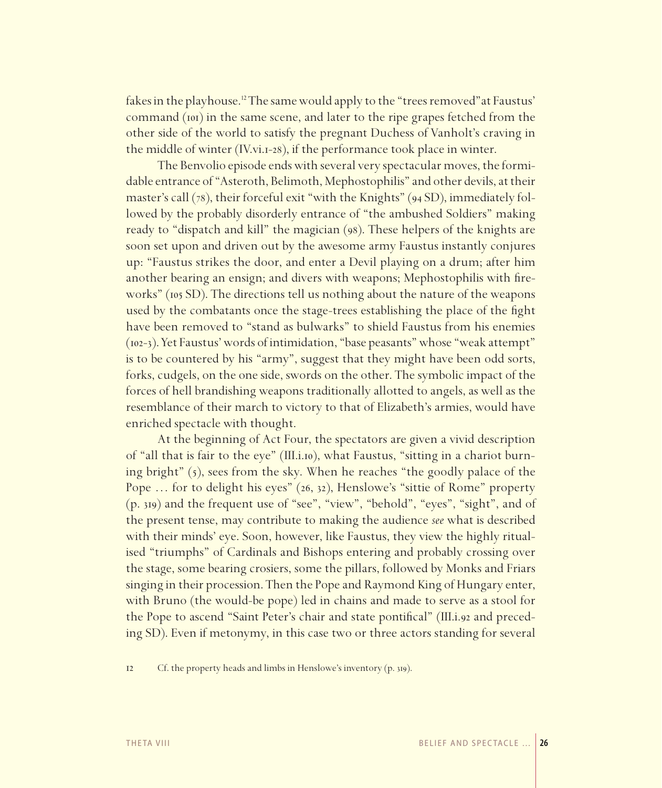fakes in the playhouse.12 The same would apply to the "trees removed"at Faustus' command (101) in the same scene, and later to the ripe grapes fetched from the other side of the world to satisfy the pregnant Duchess of Vanholt's craving in the middle of winter (IV.vi.1-28), if the performance took place in winter.

The Benvolio episode ends with several very spectacular moves, the formidable entrance of "Asteroth, Belimoth, Mephostophilis" and other devils, at their master's call (78), their forceful exit "with the Knights" (94 SD), immediately followed by the probably disorderly entrance of "the ambushed Soldiers" making ready to "dispatch and kill" the magician (98). These helpers of the knights are soon set upon and driven out by the awesome army Faustus instantly conjures up: "Faustus strikes the door, and enter a Devil playing on a drum; after him another bearing an ensign; and divers with weapons; Mephostophilis with fireworks" (105 SD). The directions tell us nothing about the nature of the weapons used by the combatants once the stage-trees establishing the place of the fight have been removed to "stand as bulwarks" to shield Faustus from his enemies (102-3). Yet Faustus' words of intimidation, "base peasants" whose "weak attempt" is to be countered by his "army", suggest that they might have been odd sorts, forks, cudgels, on the one side, swords on the other. The symbolic impact of the forces of hell brandishing weapons traditionally allotted to angels, as well as the resemblance of their march to victory to that of Elizabeth's armies, would have enriched spectacle with thought.

At the beginning of Act Four, the spectators are given a vivid description of "all that is fair to the eye" (III.i.10), what Faustus, "sitting in a chariot burning bright" (5), sees from the sky. When he reaches "the goodly palace of the Pope … for to delight his eyes" (26, 32), Henslowe's "sittie of Rome" property (p. 319) and the frequent use of "see", "view", "behold", "eyes", "sight", and of the present tense, may contribute to making the audience *see* what is described with their minds' eye. Soon, however, like Faustus, they view the highly ritualised "triumphs" of Cardinals and Bishops entering and probably crossing over the stage, some bearing crosiers, some the pillars, followed by Monks and Friars singing in their procession. Then the Pope and Raymond King of Hungary enter, with Bruno (the would-be pope) led in chains and made to serve as a stool for the Pope to ascend "Saint Peter's chair and state pontifical" (III.i.92 and preceding SD). Even if metonymy, in this case two or three actors standing for several

12 Cf. the property heads and limbs in Henslowe's inventory (p. 319).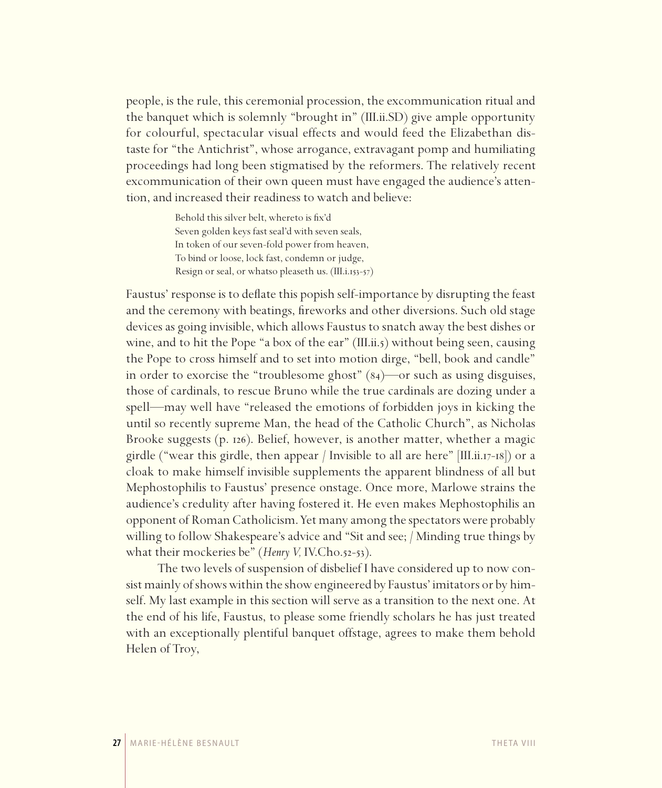people, is the rule, this ceremonial procession, the excommunication ritual and the banquet which is solemnly "brought in" (III.ii.SD) give ample opportunity for colourful, spectacular visual effects and would feed the Elizabethan distaste for "the Antichrist", whose arrogance, extravagant pomp and humiliating proceedings had long been stigmatised by the reformers. The relatively recent excommunication of their own queen must have engaged the audience's attention, and increased their readiness to watch and believe:

> Behold this silver belt, whereto is fix'd Seven golden keys fast seal'd with seven seals, In token of our seven-fold power from heaven, To bind or loose, lock fast, condemn or judge, Resign or seal, or whatso pleaseth us. (III.i.153-57)

Faustus' response is to deflate this popish self-importance by disrupting the feast and the ceremony with beatings, fireworks and other diversions. Such old stage devices as going invisible, which allows Faustus to snatch away the best dishes or wine, and to hit the Pope "a box of the ear"  $(III.ii.5)$  without being seen, causing the Pope to cross himself and to set into motion dirge, "bell, book and candle" in order to exorcise the "troublesome ghost" (84)—or such as using disguises, those of cardinals, to rescue Bruno while the true cardinals are dozing under a spell—may well have "released the emotions of forbidden joys in kicking the until so recently supreme Man, the head of the Catholic Church", as Nicholas Brooke suggests (p. 126). Belief, however, is another matter, whether a magic girdle ("wear this girdle, then appear / Invisible to all are here"  $[III ii.17-i8]$ ) or a cloak to make himself invisible supplements the apparent blindness of all but Mephostophilis to Faustus' presence onstage. Once more, Marlowe strains the audience's credulity after having fostered it. He even makes Mephostophilis an opponent of Roman Catholicism. Yet many among the spectators were probably willing to follow Shakespeare's advice and "Sit and see; / Minding true things by what their mockeries be" (*Henry V,* IV.Cho.52-53).

The two levels of suspension of disbelief I have considered up to now consist mainly of shows within the show engineered by Faustus' imitators or by himself. My last example in this section will serve as a transition to the next one. At the end of his life, Faustus, to please some friendly scholars he has just treated with an exceptionally plentiful banquet offstage, agrees to make them behold Helen of Troy,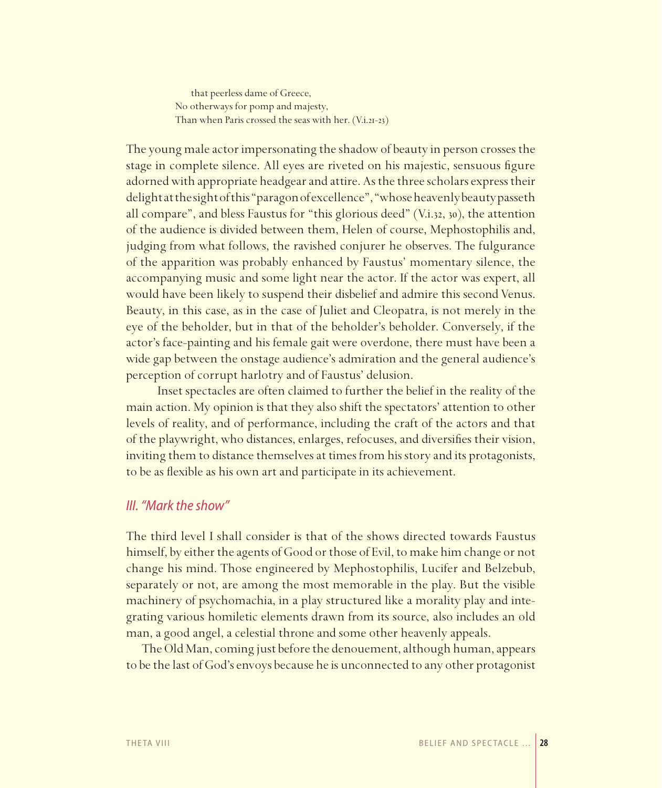that peerless dame of Greece, No otherways for pomp and majesty, Than when Paris crossed the seas with her. (V.i.21-23)

The young male actor impersonating the shadow of beauty in person crosses the stage in complete silence. All eyes are riveted on his majestic, sensuous figure adorned with appropriate headgear and attire. As the three scholars express their delight at the sight of this "paragon of excellence", "whose heavenly beauty passeth all compare", and bless Faustus for "this glorious deed" (V.i.32, 30), the attention of the audience is divided between them, Helen of course, Mephostophilis and, judging from what follows, the ravished conjurer he observes. The fulgurance of the apparition was probably enhanced by Faustus' momentary silence, the accompanying music and some light near the actor. If the actor was expert, all would have been likely to suspend their disbelief and admire this second Venus. Beauty, in this case, as in the case of Juliet and Cleopatra, is not merely in the eye of the beholder, but in that of the beholder's beholder. Conversely, if the actor's face-painting and his female gait were overdone, there must have been a wide gap between the onstage audience's admiration and the general audience's perception of corrupt harlotry and of Faustus' delusion.

Inset spectacles are often claimed to further the belief in the reality of the main action. My opinion is that they also shift the spectators' attention to other levels of reality, and of performance, including the craft of the actors and that of the playwright, who distances, enlarges, refocuses, and diversifies their vision, inviting them to distance themselves at times from his story and its protagonists, to be as flexible as his own art and participate in its achievement.

#### *III. "Mark the show"*

The third level I shall consider is that of the shows directed towards Faustus himself, by either the agents of Good or those of Evil, to make him change or not change his mind. Those engineered by Mephostophilis, Lucifer and Belzebub, separately or not, are among the most memorable in the play. But the visible machinery of psychomachia, in a play structured like a morality play and integrating various homiletic elements drawn from its source, also includes an old man, a good angel, a celestial throne and some other heavenly appeals.

The Old Man, coming just before the denouement, although human, appears to be the last of God's envoys because he is unconnected to any other protagonist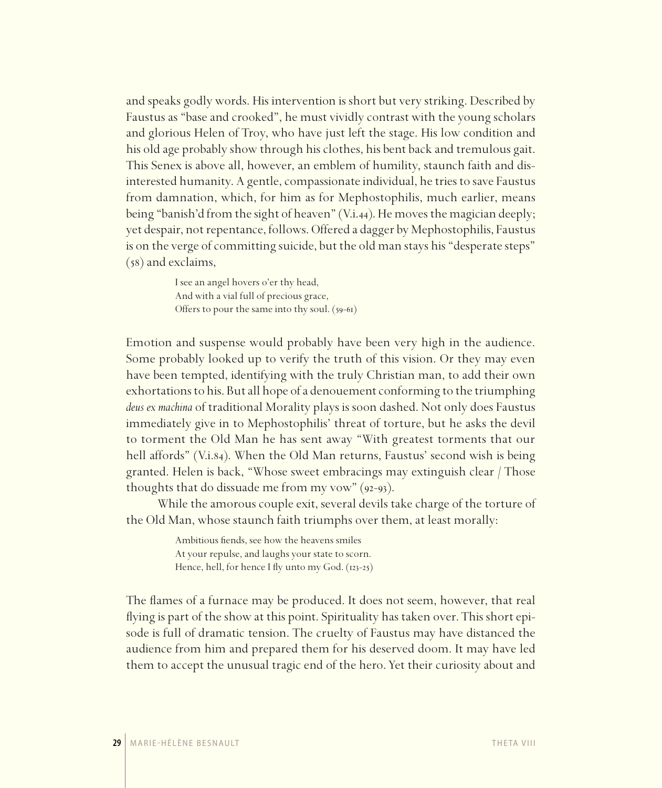and speaks godly words. His intervention is short but very striking. Described by Faustus as "base and crooked", he must vividly contrast with the young scholars and glorious Helen of Troy, who have just left the stage. His low condition and his old age probably show through his clothes, his bent back and tremulous gait. This Senex is above all, however, an emblem of humility, staunch faith and disinterested humanity. A gentle, compassionate individual, he tries to save Faustus from damnation, which, for him as for Mephostophilis, much earlier, means being "banish'd from the sight of heaven" (V.i.44). He moves the magician deeply; yet despair, not repentance, follows. Offered a dagger by Mephostophilis, Faustus is on the verge of committing suicide, but the old man stays his "desperate steps" (58) and exclaims,

> I see an angel hovers o'er thy head, And with a vial full of precious grace, Offers to pour the same into thy soul. (59-61)

Emotion and suspense would probably have been very high in the audience. Some probably looked up to verify the truth of this vision. Or they may even have been tempted, identifying with the truly Christian man, to add their own exhortations to his. But all hope of a denouement conforming to the triumphing *deus ex machina* of traditional Morality plays is soon dashed. Not only does Faustus immediately give in to Mephostophilis' threat of torture, but he asks the devil to torment the Old Man he has sent away "With greatest torments that our hell affords" (V.i.84). When the Old Man returns, Faustus' second wish is being granted. Helen is back, "Whose sweet embracings may extinguish clear / Those thoughts that do dissuade me from my vow" (92-93).

While the amorous couple exit, several devils take charge of the torture of the Old Man, whose staunch faith triumphs over them, at least morally:

> Ambitious fiends, see how the heavens smiles At your repulse, and laughs your state to scorn. Hence, hell, for hence I fly unto my God. (123-25)

The flames of a furnace may be produced. It does not seem, however, that real flying is part of the show at this point. Spirituality has taken over. This short episode is full of dramatic tension. The cruelty of Faustus may have distanced the audience from him and prepared them for his deserved doom. It may have led them to accept the unusual tragic end of the hero. Yet their curiosity about and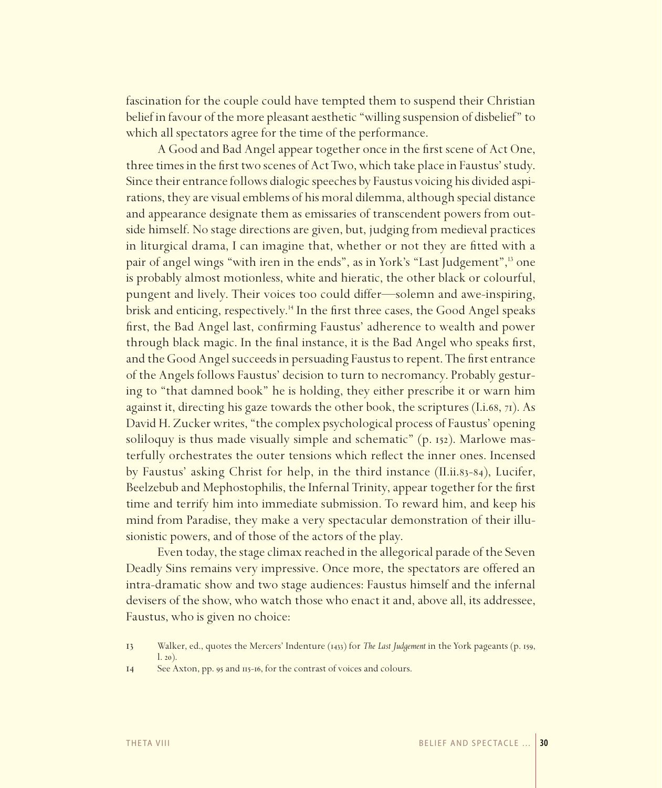fascination for the couple could have tempted them to suspend their Christian belief in favour of the more pleasant aesthetic "willing suspension of disbelief" to which all spectators agree for the time of the performance.

A Good and Bad Angel appear together once in the first scene of Act One, three times in the first two scenes of Act Two, which take place in Faustus' study. Since their entrance follows dialogic speeches by Faustus voicing his divided aspirations, they are visual emblems of his moral dilemma, although special distance and appearance designate them as emissaries of transcendent powers from outside himself. No stage directions are given, but, judging from medieval practices in liturgical drama, I can imagine that, whether or not they are fitted with a pair of angel wings "with iren in the ends", as in York's "Last Judgement",<sup>13</sup> one is probably almost motionless, white and hieratic, the other black or colourful, pungent and lively. Their voices too could differ—solemn and awe-inspiring, brisk and enticing, respectively.<sup>14</sup> In the first three cases, the Good Angel speaks first, the Bad Angel last, confirming Faustus' adherence to wealth and power through black magic. In the final instance, it is the Bad Angel who speaks first, and the Good Angel succeeds in persuading Faustus to repent. The first entrance of the Angels follows Faustus' decision to turn to necromancy. Probably gesturing to "that damned book" he is holding, they either prescribe it or warn him against it, directing his gaze towards the other book, the scriptures (I.i.68, 71). As David H. Zucker writes, "the complex psychological process of Faustus' opening soliloquy is thus made visually simple and schematic" (p. 152). Marlowe masterfully orchestrates the outer tensions which reflect the inner ones. Incensed by Faustus' asking Christ for help, in the third instance (II.ii.83-84), Lucifer, Beelzebub and Mephostophilis, the Infernal Trinity, appear together for the first time and terrify him into immediate submission. To reward him, and keep his mind from Paradise, they make a very spectacular demonstration of their illusionistic powers, and of those of the actors of the play.

Even today, the stage climax reached in the allegorical parade of the Seven Deadly Sins remains very impressive. Once more, the spectators are offered an intra-dramatic show and two stage audiences: Faustus himself and the infernal devisers of the show, who watch those who enact it and, above all, its addressee, Faustus, who is given no choice:

<sup>13</sup> Walker, ed., quotes the Mercers' Indenture (1433) for *The Last Judgement* in the York pageants (p. 159, l. 20).

<sup>14</sup> See Axton, pp. 95 and 115-16, for the contrast of voices and colours.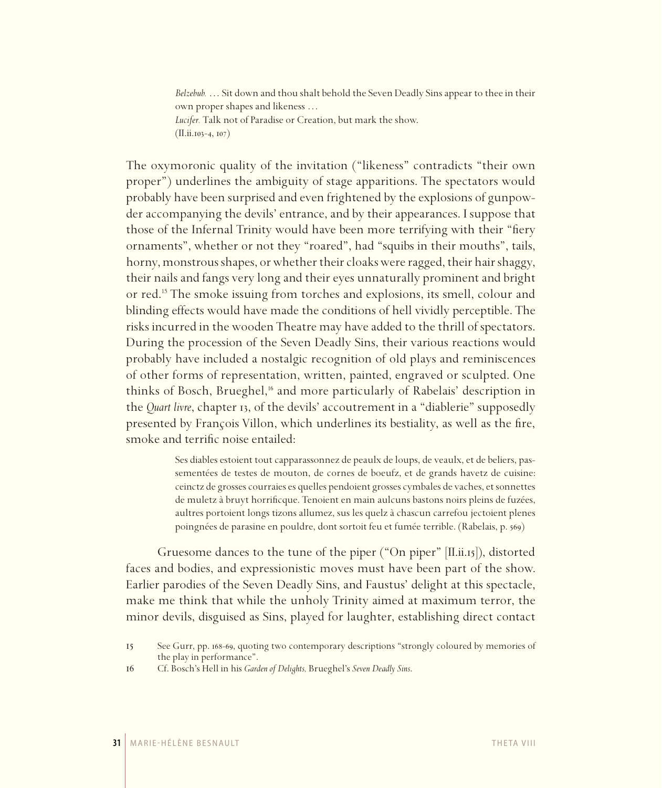*Belzebub.* … Sit down and thou shalt behold the Seven Deadly Sins appear to thee in their own proper shapes and likeness … *Lucifer.* Talk not of Paradise or Creation, but mark the show.  $(II.ii.103-4, 107)$ 

The oxymoronic quality of the invitation ("likeness" contradicts "their own proper") underlines the ambiguity of stage apparitions. The spectators would probably have been surprised and even frightened by the explosions of gunpowder accompanying the devils' entrance, and by their appearances. I suppose that those of the Infernal Trinity would have been more terrifying with their "fiery ornaments", whether or not they "roared", had "squibs in their mouths", tails, horny, monstrous shapes, or whether their cloaks were ragged, their hair shaggy, their nails and fangs very long and their eyes unnaturally prominent and bright or red.15 The smoke issuing from torches and explosions, its smell, colour and blinding effects would have made the conditions of hell vividly perceptible. The risks incurred in the wooden Theatre may have added to the thrill of spectators. During the procession of the Seven Deadly Sins, their various reactions would probably have included a nostalgic recognition of old plays and reminiscences of other forms of representation, written, painted, engraved or sculpted. One thinks of Bosch, Brueghel,16 and more particularly of Rabelais' description in the *Quart livre*, chapter 13, of the devils' accoutrement in a "diablerie" supposedly presented by François Villon, which underlines its bestiality, as well as the fire, smoke and terrific noise entailed:

> Ses diables estoient tout capparassonnez de peaulx de loups, de veaulx, et de beliers, passementées de testes de mouton, de cornes de boeufz, et de grands havetz de cuisine: ceinctz de grosses courraies es quelles pendoient grosses cymbales de vaches, et sonnettes de muletz à bruyt horrificque. Tenoient en main aulcuns bastons noirs pleins de fuzées, aultres portoient longs tizons allumez, sus les quelz à chascun carrefou jectoient plenes poingnées de parasine en pouldre, dont sortoit feu et fumée terrible. (Rabelais, p. 569)

Gruesome dances to the tune of the piper ("On piper" [II.ii.15]), distorted faces and bodies, and expressionistic moves must have been part of the show. Earlier parodies of the Seven Deadly Sins, and Faustus' delight at this spectacle, make me think that while the unholy Trinity aimed at maximum terror, the minor devils, disguised as Sins, played for laughter, establishing direct contact

16 Cf. Bosch's Hell in his *Garden of Delights,* Brueghel's *Seven Deadly Sins*.

<sup>15</sup> See Gurr, pp. 168-69, quoting two contemporary descriptions "strongly coloured by memories of the play in performance".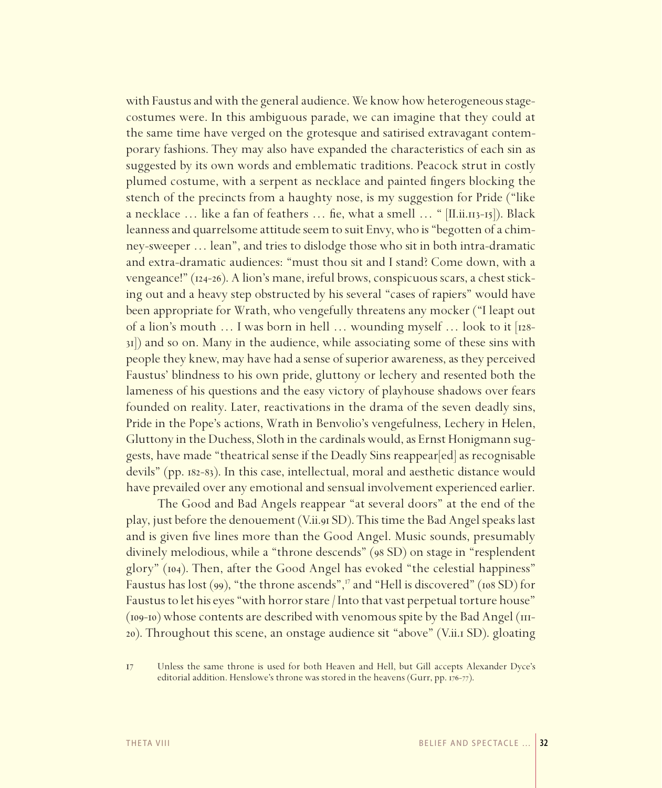with Faustus and with the general audience. We know how heterogeneous stagecostumes were. In this ambiguous parade, we can imagine that they could at the same time have verged on the grotesque and satirised extravagant contemporary fashions. They may also have expanded the characteristics of each sin as suggested by its own words and emblematic traditions. Peacock strut in costly plumed costume, with a serpent as necklace and painted fingers blocking the stench of the precincts from a haughty nose, is my suggestion for Pride ("like a necklace  $\ldots$  like a fan of feathers  $\ldots$  fie, what a smell  $\ldots$  " [II.ii.113-15]). Black leanness and quarrelsome attitude seem to suit Envy, who is "begotten of a chimney-sweeper … lean", and tries to dislodge those who sit in both intra-dramatic and extra-dramatic audiences: "must thou sit and I stand? Come down, with a vengeance!" (124-26). A lion's mane, ireful brows, conspicuous scars, a chest sticking out and a heavy step obstructed by his several "cases of rapiers" would have been appropriate for Wrath, who vengefully threatens any mocker ("I leapt out of a lion's mouth  $\dots$  I was born in hell  $\dots$  wounding myself  $\dots$  look to it [128-31]) and so on. Many in the audience, while associating some of these sins with people they knew, may have had a sense of superior awareness, as they perceived Faustus' blindness to his own pride, gluttony or lechery and resented both the lameness of his questions and the easy victory of playhouse shadows over fears founded on reality. Later, reactivations in the drama of the seven deadly sins, Pride in the Pope's actions, Wrath in Benvolio's vengefulness, Lechery in Helen, Gluttony in the Duchess, Sloth in the cardinals would, as Ernst Honigmann suggests, have made "theatrical sense if the Deadly Sins reappear[ed] as recognisable devils" (pp. 182-83). In this case, intellectual, moral and aesthetic distance would have prevailed over any emotional and sensual involvement experienced earlier.

The Good and Bad Angels reappear "at several doors" at the end of the play, just before the denouement (V.ii.91 SD). This time the Bad Angel speaks last and is given five lines more than the Good Angel. Music sounds, presumably divinely melodious, while a "throne descends" (98 SD) on stage in "resplendent glory" (104). Then, after the Good Angel has evoked "the celestial happiness" Faustus has lost (99), "the throne ascends",<sup>17</sup> and "Hell is discovered" (108 SD) for Faustus to let his eyes "with horror stare / Into that vast perpetual torture house" (109-10) whose contents are described with venomous spite by the Bad Angel (111- 20). Throughout this scene, an onstage audience sit "above" (V.ii.1 SD). gloating

<sup>17</sup> Unless the same throne is used for both Heaven and Hell, but Gill accepts Alexander Dyce's editorial addition. Henslowe's throne was stored in the heavens (Gurr, pp. 176-77).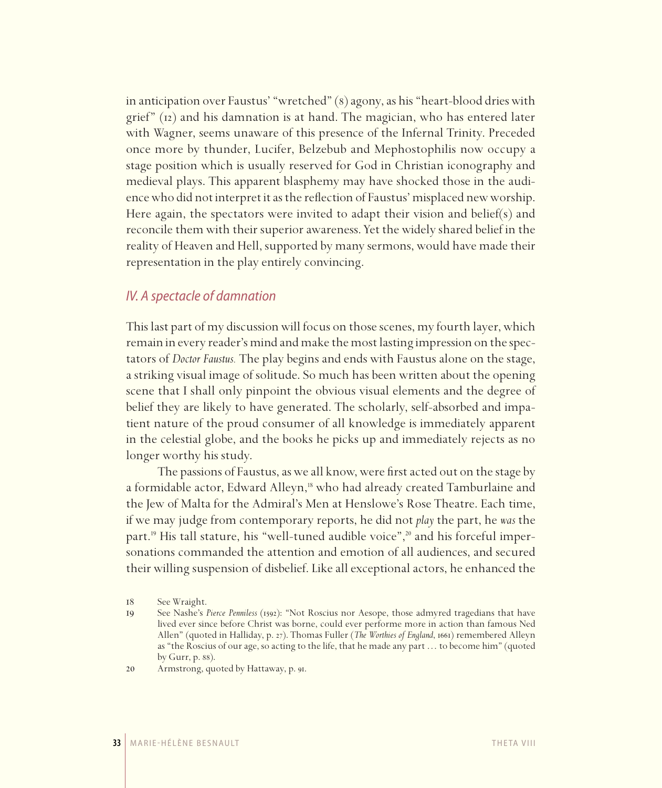in anticipation over Faustus' "wretched" (8) agony, as his "heart-blood dries with grief" (12) and his damnation is at hand. The magician, who has entered later with Wagner, seems unaware of this presence of the Infernal Trinity. Preceded once more by thunder, Lucifer, Belzebub and Mephostophilis now occupy a stage position which is usually reserved for God in Christian iconography and medieval plays. This apparent blasphemy may have shocked those in the audience who did not interpret it as the reflection of Faustus' misplaced new worship. Here again, the spectators were invited to adapt their vision and belief(s) and reconcile them with their superior awareness. Yet the widely shared belief in the reality of Heaven and Hell, supported by many sermons, would have made their representation in the play entirely convincing.

#### *IV. A spectacle of damnation*

This last part of my discussion will focus on those scenes, my fourth layer, which remain in every reader's mind and make the most lasting impression on the spectators of *Doctor Faustus.* The play begins and ends with Faustus alone on the stage, a striking visual image of solitude. So much has been written about the opening scene that I shall only pinpoint the obvious visual elements and the degree of belief they are likely to have generated. The scholarly, self-absorbed and impatient nature of the proud consumer of all knowledge is immediately apparent in the celestial globe, and the books he picks up and immediately rejects as no longer worthy his study.

The passions of Faustus, as we all know, were first acted out on the stage by a formidable actor, Edward Alleyn,<sup>18</sup> who had already created Tamburlaine and the Jew of Malta for the Admiral's Men at Henslowe's Rose Theatre. Each time, if we may judge from contemporary reports, he did not *play* the part, he *was* the part.<sup>19</sup> His tall stature, his "well-tuned audible voice",<sup>20</sup> and his forceful impersonations commanded the attention and emotion of all audiences, and secured their willing suspension of disbelief. Like all exceptional actors, he enhanced the

<sup>18</sup> See Wraight.<br>19 See Nashe's

See Nashe's Pierce Penniless (1592): "Not Roscius nor Aesope, those admyred tragedians that have lived ever since before Christ was borne, could ever performe more in action than famous Ned Allen" (quoted in Halliday, p. 27). Thomas Fuller (*The Worthies of England*, 1661) remembered Alleyn as "the Roscius of our age, so acting to the life, that he made any part … to become him" (quoted by Gurr, p. 88).

<sup>20</sup> Armstrong, quoted by Hattaway, p. 91.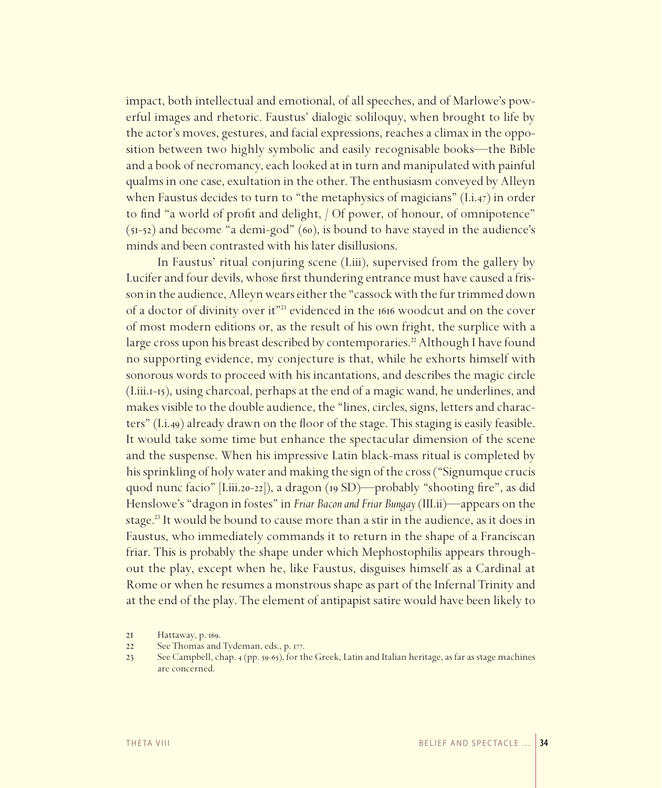impact, both intellectual and emotional, of all speeches, and of Marlowe's powerful images and rhetoric. Faustus' dialogic soliloquy, when brought to life by the actor's moves, gestures, and facial expressions, reaches a climax in the opposition between two highly symbolic and easily recognisable books—the Bible and a book of necromancy, each looked at in turn and manipulated with painful qualms in one case, exultation in the other. The enthusiasm conveyed by Alleyn when Faustus decides to turn to "the metaphysics of magicians" (I.i.47) in order to find "a world of profit and delight, / Of power, of honour, of omnipotence"  $(51-52)$  and become "a demi-god"  $(60)$ , is bound to have stayed in the audience's minds and been contrasted with his later disillusions.

In Faustus' ritual conjuring scene (I.iii), supervised from the gallery by Lucifer and four devils, whose first thundering entrance must have caused a frisson in the audience, Alleyn wears either the "cassock with the fur trimmed down of a doctor of divinity over it"21 evidenced in the 1616 woodcut and on the cover of most modern editions or, as the result of his own fright, the surplice with a large cross upon his breast described by contemporaries.<sup>22</sup> Although I have found no supporting evidence, my conjecture is that, while he exhorts himself with sonorous words to proceed with his incantations, and describes the magic circle (I.iii.1-15), using charcoal, perhaps at the end of a magic wand, he underlines, and makes visible to the double audience, the "lines, circles, signs, letters and characters" (I.i.49) already drawn on the floor of the stage. This staging is easily feasible. It would take some time but enhance the spectacular dimension of the scene and the suspense. When his impressive Latin black-mass ritual is completed by his sprinkling of holy water and making the sign of the cross ("Signumque crucis quod nunc facio" [Liii.20-22]), a dragon (19 SD)—probably "shooting fire", as did Henslowe's "dragon in fostes" in *Friar Bacon and Friar Bungay* (III.ii)—appears on the stage.<sup>23</sup> It would be bound to cause more than a stir in the audience, as it does in Faustus, who immediately commands it to return in the shape of a Franciscan friar. This is probably the shape under which Mephostophilis appears throughout the play, except when he, like Faustus, disguises himself as a Cardinal at Rome or when he resumes a monstrous shape as part of the Infernal Trinity and at the end of the play. The element of antipapist satire would have been likely to

<sup>21</sup> Hattaway, p. 169.<br>22 See Thomas and

See Thomas and Tydeman, eds., p. 177.

<sup>23</sup> See Campbell, chap. 4 (pp. 59-65), for the Greek, Latin and Italian heritage, as far as stage machines are concerned.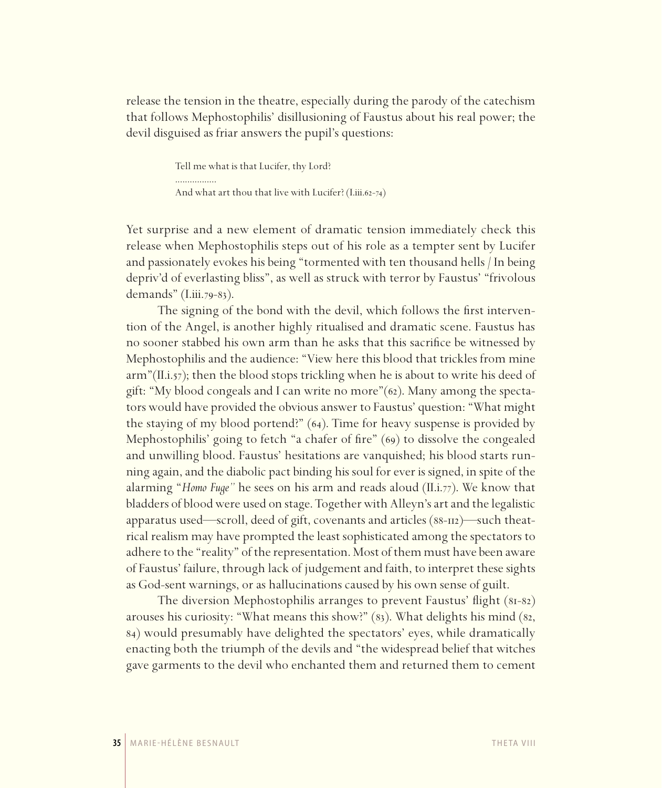release the tension in the theatre, especially during the parody of the catechism that follows Mephostophilis' disillusioning of Faustus about his real power; the devil disguised as friar answers the pupil's questions:

> Tell me what is that Lucifer, thy Lord? ................. And what art thou that live with Lucifer? (I.iii.62-74)

Yet surprise and a new element of dramatic tension immediately check this release when Mephostophilis steps out of his role as a tempter sent by Lucifer and passionately evokes his being "tormented with ten thousand hells / In being depriv'd of everlasting bliss", as well as struck with terror by Faustus' "frivolous demands" (I.iii.79-83).

The signing of the bond with the devil, which follows the first intervention of the Angel, is another highly ritualised and dramatic scene. Faustus has no sooner stabbed his own arm than he asks that this sacrifice be witnessed by Mephostophilis and the audience: "View here this blood that trickles from mine arm"(II.i.57); then the blood stops trickling when he is about to write his deed of gift: "My blood congeals and I can write no more"(62). Many among the spectators would have provided the obvious answer to Faustus' question: "What might the staying of my blood portend?" (64). Time for heavy suspense is provided by Mephostophilis' going to fetch "a chafer of fire" (69) to dissolve the congealed and unwilling blood. Faustus' hesitations are vanquished; his blood starts running again, and the diabolic pact binding his soul for ever is signed, in spite of the alarming "*Homo Fuge"* he sees on his arm and reads aloud (II.i.77). We know that bladders of blood were used on stage. Together with Alleyn's art and the legalistic apparatus used—scroll, deed of gift, covenants and articles (88-112)—such theatrical realism may have prompted the least sophisticated among the spectators to adhere to the "reality" of the representation. Most of them must have been aware of Faustus' failure, through lack of judgement and faith, to interpret these sights as God-sent warnings, or as hallucinations caused by his own sense of guilt.

The diversion Mephostophilis arranges to prevent Faustus' flight (81-82) arouses his curiosity: "What means this show?" (83). What delights his mind (82, 84) would presumably have delighted the spectators' eyes, while dramatically enacting both the triumph of the devils and "the widespread belief that witches gave garments to the devil who enchanted them and returned them to cement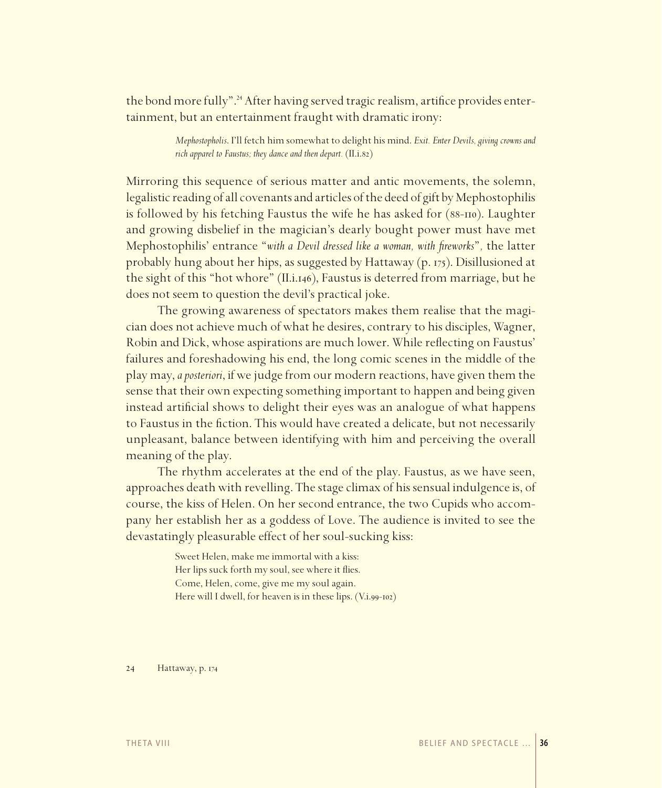the bond more fully".<sup>24</sup> After having served tragic realism, artifice provides entertainment, but an entertainment fraught with dramatic irony:

> *Mephostopholis*. I'll fetch him somewhat to delight his mind. *Exit. Enter Devils, giving crowns and rich apparel to Faustus; they dance and then depart.* (II.i.82)

Mirroring this sequence of serious matter and antic movements, the solemn, legalistic reading of all covenants and articles of the deed of gift by Mephostophilis is followed by his fetching Faustus the wife he has asked for (88-110). Laughter and growing disbelief in the magician's dearly bought power must have met Mephostophilis' entrance "with a Devil dressed like a woman, with fireworks", the latter probably hung about her hips, as suggested by Hattaway (p. 175). Disillusioned at the sight of this "hot whore" (II.i.146), Faustus is deterred from marriage, but he does not seem to question the devil's practical joke.

The growing awareness of spectators makes them realise that the magician does not achieve much of what he desires, contrary to his disciples, Wagner, Robin and Dick, whose aspirations are much lower. While reflecting on Faustus' failures and foreshadowing his end, the long comic scenes in the middle of the play may, *a posteriori*, if we judge from our modern reactions, have given them the sense that their own expecting something important to happen and being given instead artificial shows to delight their eyes was an analogue of what happens to Faustus in the fiction. This would have created a delicate, but not necessarily unpleasant, balance between identifying with him and perceiving the overall meaning of the play.

The rhythm accelerates at the end of the play. Faustus, as we have seen, approaches death with revelling. The stage climax of his sensual indulgence is, of course, the kiss of Helen. On her second entrance, the two Cupids who accompany her establish her as a goddess of Love. The audience is invited to see the devastatingly pleasurable effect of her soul-sucking kiss:

> Sweet Helen, make me immortal with a kiss: Her lips suck forth my soul, see where it flies. Come, Helen, come, give me my soul again. Here will I dwell, for heaven is in these lips. (V.i.99-102)

24 Hattaway, p. 174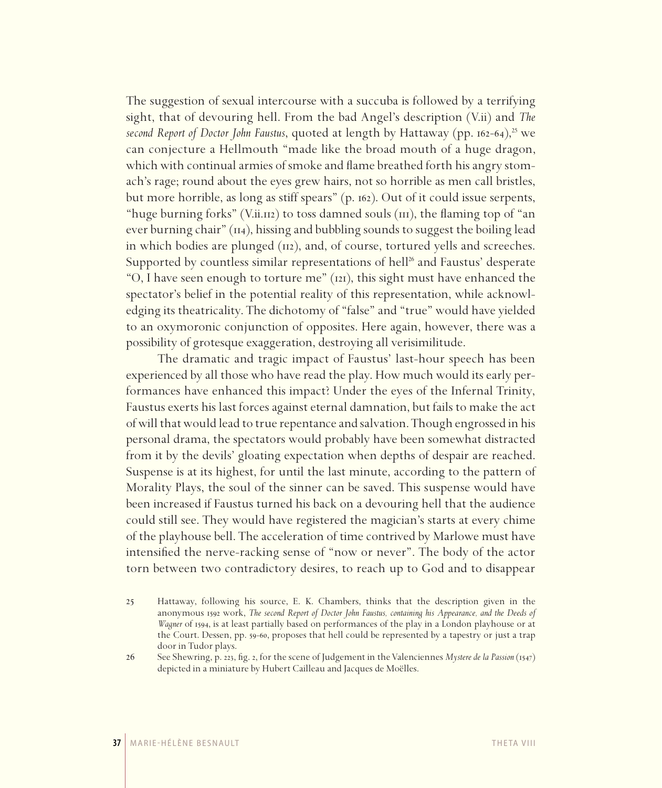The suggestion of sexual intercourse with a succuba is followed by a terrifying sight, that of devouring hell. From the bad Angel's description (V.ii) and *The second Report of Doctor John Faustus*, quoted at length by Hattaway (pp. 162-64),<sup>25</sup> we can conjecture a Hellmouth "made like the broad mouth of a huge dragon, which with continual armies of smoke and flame breathed forth his angry stomach's rage; round about the eyes grew hairs, not so horrible as men call bristles, but more horrible, as long as stiff spears" (p. 162). Out of it could issue serpents, "huge burning forks" (V.ii.112) to toss damned souls (111), the flaming top of "an ever burning chair" (114), hissing and bubbling sounds to suggest the boiling lead in which bodies are plunged (112), and, of course, tortured yells and screeches. Supported by countless similar representations of hell<sup>26</sup> and Faustus' desperate "O, I have seen enough to torture me" (121), this sight must have enhanced the spectator's belief in the potential reality of this representation, while acknowledging its theatricality. The dichotomy of "false" and "true" would have yielded to an oxymoronic conjunction of opposites. Here again, however, there was a possibility of grotesque exaggeration, destroying all verisimilitude.

The dramatic and tragic impact of Faustus' last-hour speech has been experienced by all those who have read the play. How much would its early performances have enhanced this impact? Under the eyes of the Infernal Trinity, Faustus exerts his last forces against eternal damnation, but fails to make the act of will that would lead to true repentance and salvation. Though engrossed in his personal drama, the spectators would probably have been somewhat distracted from it by the devils' gloating expectation when depths of despair are reached. Suspense is at its highest, for until the last minute, according to the pattern of Morality Plays, the soul of the sinner can be saved. This suspense would have been increased if Faustus turned his back on a devouring hell that the audience could still see. They would have registered the magician's starts at every chime of the playhouse bell. The acceleration of time contrived by Marlowe must have intensified the nerve-racking sense of "now or never". The body of the actor torn between two contradictory desires, to reach up to God and to disappear

26 See Shewring, p. 223, fig. 2, for the scene of Judgement in the Valenciennes *Mystere de la Passion* (1547) depicted in a miniature by Hubert Cailleau and Jacques de Moëlles.

<sup>25</sup> Hattaway, following his source, E. K. Chambers, thinks that the description given in the anonymous 1592 work, *The second Report of Doctor John Faustus, containing his Appearance, and the Deeds of Wagner* of 1594, is at least partially based on performances of the play in a London playhouse or at the Court. Dessen, pp. 59-60, proposes that hell could be represented by a tapestry or just a trap door in Tudor plays.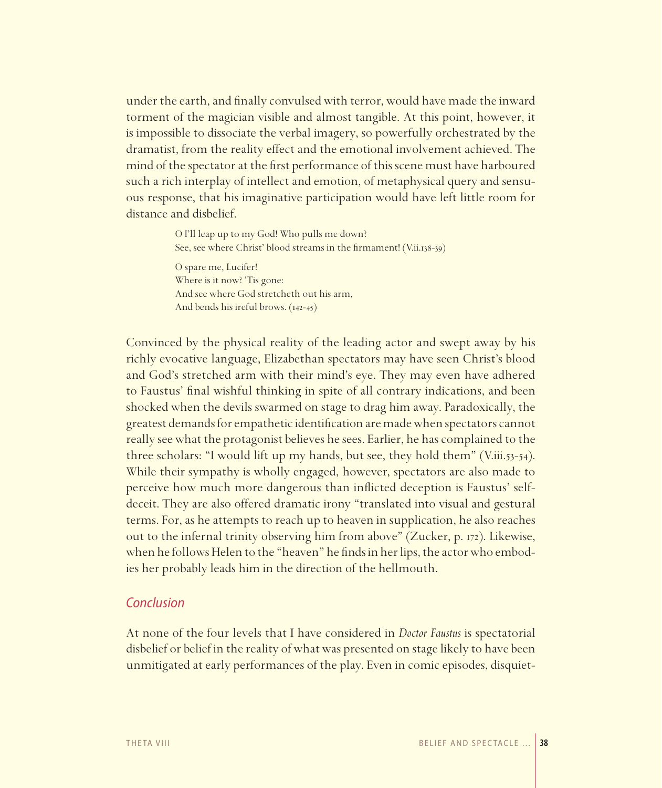under the earth, and finally convulsed with terror, would have made the inward torment of the magician visible and almost tangible. At this point, however, it is impossible to dissociate the verbal imagery, so powerfully orchestrated by the dramatist, from the reality effect and the emotional involvement achieved. The mind of the spectator at the first performance of this scene must have harboured such a rich interplay of intellect and emotion, of metaphysical query and sensuous response, that his imaginative participation would have left little room for distance and disbelief.

> O I'll leap up to my God! Who pulls me down? See, see where Christ' blood streams in the firmament! (V.ii.138-39) O spare me, Lucifer! Where is it now? 'Tis gone: And see where God stretcheth out his arm, And bends his ireful brows. (142-45)

Convinced by the physical reality of the leading actor and swept away by his richly evocative language, Elizabethan spectators may have seen Christ's blood and God's stretched arm with their mind's eye. They may even have adhered to Faustus' final wishful thinking in spite of all contrary indications, and been shocked when the devils swarmed on stage to drag him away. Paradoxically, the greatest demands for empathetic identification are made when spectators cannot really see what the protagonist believes he sees. Earlier, he has complained to the three scholars: "I would lift up my hands, but see, they hold them" (V.iii.53-54). While their sympathy is wholly engaged, however, spectators are also made to perceive how much more dangerous than inflicted deception is Faustus' selfdeceit. They are also offered dramatic irony "translated into visual and gestural terms. For, as he attempts to reach up to heaven in supplication, he also reaches out to the infernal trinity observing him from above" (Zucker, p. 172). Likewise, when he follows Helen to the "heaven" he finds in her lips, the actor who embodies her probably leads him in the direction of the hellmouth.

#### *Conclusion*

At none of the four levels that I have considered in *Doctor Faustus* is spectatorial disbelief or belief in the reality of what was presented on stage likely to have been unmitigated at early performances of the play. Even in comic episodes, disquiet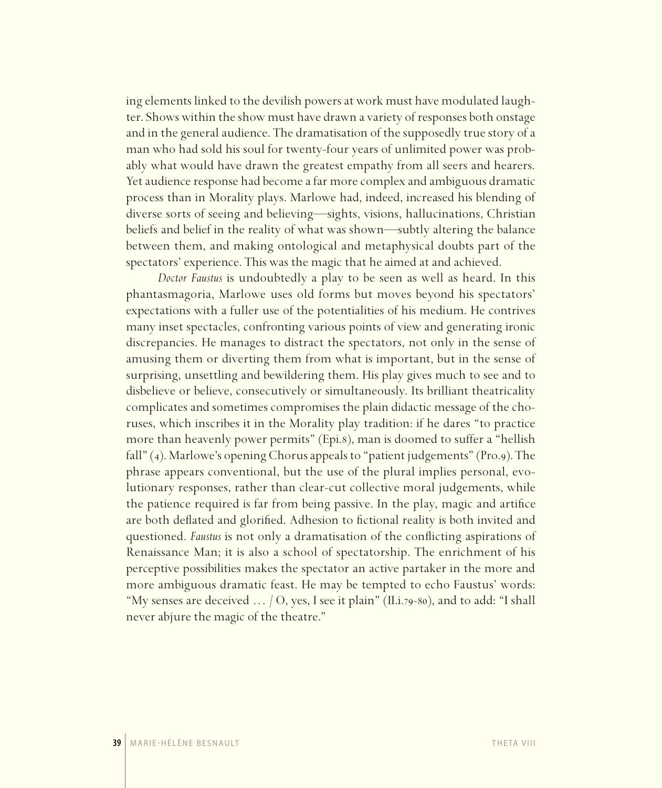ing elements linked to the devilish powers at work must have modulated laughter. Shows within the show must have drawn a variety of responses both onstage and in the general audience. The dramatisation of the supposedly true story of a man who had sold his soul for twenty-four years of unlimited power was probably what would have drawn the greatest empathy from all seers and hearers. Yet audience response had become a far more complex and ambiguous dramatic process than in Morality plays. Marlowe had, indeed, increased his blending of diverse sorts of seeing and believing—sights, visions, hallucinations, Christian beliefs and belief in the reality of what was shown—subtly altering the balance between them, and making ontological and metaphysical doubts part of the spectators' experience. This was the magic that he aimed at and achieved.

*Doctor Faustus* is undoubtedly a play to be seen as well as heard. In this phantasmagoria, Marlowe uses old forms but moves beyond his spectators' expectations with a fuller use of the potentialities of his medium. He contrives many inset spectacles, confronting various points of view and generating ironic discrepancies. He manages to distract the spectators, not only in the sense of amusing them or diverting them from what is important, but in the sense of surprising, unsettling and bewildering them. His play gives much to see and to disbelieve or believe, consecutively or simultaneously. Its brilliant theatricality complicates and sometimes compromises the plain didactic message of the choruses, which inscribes it in the Morality play tradition: if he dares "to practice more than heavenly power permits" (Epi.8), man is doomed to suffer a "hellish fall" (4). Marlowe's opening Chorus appeals to "patient judgements" (Pro.9). The phrase appears conventional, but the use of the plural implies personal, evolutionary responses, rather than clear-cut collective moral judgements, while the patience required is far from being passive. In the play, magic and artifice are both deflated and glorified. Adhesion to fictional reality is both invited and questioned. *Faustus* is not only a dramatisation of the conflicting aspirations of Renaissance Man; it is also a school of spectatorship. The enrichment of his perceptive possibilities makes the spectator an active partaker in the more and more ambiguous dramatic feast. He may be tempted to echo Faustus' words: "My senses are deceived  $\ldots$  / O, yes, I see it plain" (II.i.79-80), and to add: "I shall never abjure the magic of the theatre."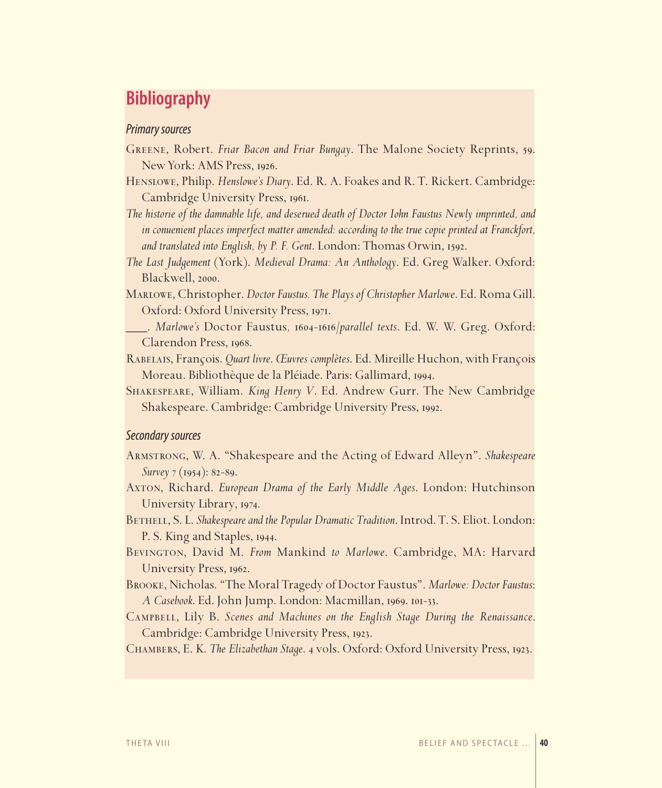# **Bibliography**

#### *Primary sources*

- Greene, Robert. *Friar Bacon and Friar Bungay*. The Malone Society Reprints, 59. New York: AMS Press, 1926.
- Henslowe, Philip. *Henslowe's Diary*. Ed. R. A. Foakes and R. T. Rickert. Cambridge: Cambridge University Press, 1961.
- *The historie of the damnable life, and deserued death of Doctor Iohn Faustus Newly imprinted, and in conuenient places imperfect matter amended: according to the true copie printed at Franckfort, and translated into English, by P. F. Gent*. London: Thomas Orwin, 1592.
- *The Last Judgement* (York). *Medieval Drama: An Anthology*. Ed. Greg Walker. Oxford: Blackwell, 2000.
- Marlowe, Christopher. *Doctor Faustus. The Plays of Christopher Marlowe*. Ed. Roma Gill. Oxford: Oxford University Press, 1971.
- \_\_\_. *Marlowe's* Doctor Faustus*,* 1604*-*1616*/parallel texts*. Ed. W. W. Greg. Oxford: Clarendon Press, 1968.
- Rabelais, François. *Quart livre*. *Œuvres complètes*. Ed. Mireille Huchon, with François Moreau. Bibliothèque de la Pléiade. Paris: Gallimard, 1994.
- Shakespeare, William. *King Henry V*. Ed. Andrew Gurr. The New Cambridge Shakespeare. Cambridge: Cambridge University Press, 1992.

#### *Secondary sources*

- Armstrong, W. A. "Shakespeare and the Acting of Edward Alleyn". *Shakespeare Survey* 7 (1954): 82-89.
- Axton, Richard. *European Drama of the Early Middle Ages*. London: Hutchinson University Library, 1974.
- BETHELL, S. L. *Shakespeare and the Popular Dramatic Tradition*. Introd. T. S. Eliot. London: P. S. King and Staples, 1944.
- Bevington, David M. *From* Mankind *to Marlowe*. Cambridge, MA: Harvard University Press, 1962.
- Brooke, Nicholas. "The Moral Tragedy of Doctor Faustus". *Marlowe: Doctor Faustus*: *A Casebook*. Ed. John Jump. London: Macmillan, 1969. 101-33.
- Campbell, Lily B. *Scenes and Machines on the English Stage During the Renaissance*. Cambridge: Cambridge University Press, 1923.

Chambers, E. K. *The Elizabethan Stage*. 4 vols. Oxford: Oxford University Press, 1923.